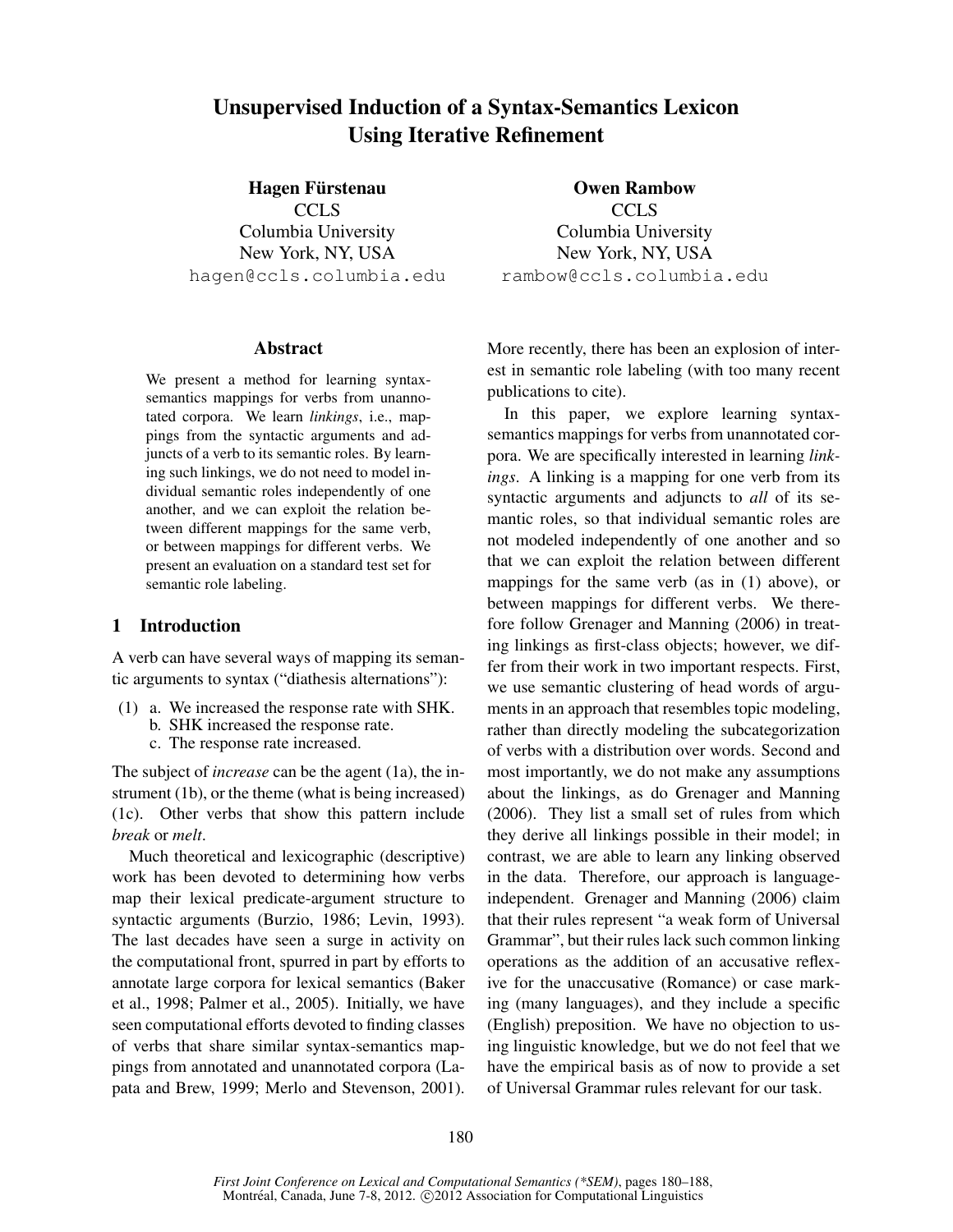# Unsupervised Induction of a Syntax-Semantics Lexicon Using Iterative Refinement

Hagen Fürstenau **CCLS** Columbia University New York, NY, USA hagen@ccls.columbia.edu

#### Abstract

We present a method for learning syntaxsemantics mappings for verbs from unannotated corpora. We learn *linkings*, i.e., mappings from the syntactic arguments and adjuncts of a verb to its semantic roles. By learning such linkings, we do not need to model individual semantic roles independently of one another, and we can exploit the relation between different mappings for the same verb, or between mappings for different verbs. We present an evaluation on a standard test set for semantic role labeling.

### 1 Introduction

A verb can have several ways of mapping its semantic arguments to syntax ("diathesis alternations"):

- (1) a. We increased the response rate with SHK. b. SHK increased the response rate.
	- c. The response rate increased.

The subject of *increase* can be the agent (1a), the instrument (1b), or the theme (what is being increased) (1c). Other verbs that show this pattern include *break* or *melt*.

Much theoretical and lexicographic (descriptive) work has been devoted to determining how verbs map their lexical predicate-argument structure to syntactic arguments (Burzio, 1986; Levin, 1993). The last decades have seen a surge in activity on the computational front, spurred in part by efforts to annotate large corpora for lexical semantics (Baker et al., 1998; Palmer et al., 2005). Initially, we have seen computational efforts devoted to finding classes of verbs that share similar syntax-semantics mappings from annotated and unannotated corpora (Lapata and Brew, 1999; Merlo and Stevenson, 2001).

Owen Rambow CCLS Columbia University New York, NY, USA rambow@ccls.columbia.edu

More recently, there has been an explosion of interest in semantic role labeling (with too many recent publications to cite).

In this paper, we explore learning syntaxsemantics mappings for verbs from unannotated corpora. We are specifically interested in learning *linkings*. A linking is a mapping for one verb from its syntactic arguments and adjuncts to *all* of its semantic roles, so that individual semantic roles are not modeled independently of one another and so that we can exploit the relation between different mappings for the same verb (as in (1) above), or between mappings for different verbs. We therefore follow Grenager and Manning (2006) in treating linkings as first-class objects; however, we differ from their work in two important respects. First, we use semantic clustering of head words of arguments in an approach that resembles topic modeling, rather than directly modeling the subcategorization of verbs with a distribution over words. Second and most importantly, we do not make any assumptions about the linkings, as do Grenager and Manning (2006). They list a small set of rules from which they derive all linkings possible in their model; in contrast, we are able to learn any linking observed in the data. Therefore, our approach is languageindependent. Grenager and Manning (2006) claim that their rules represent "a weak form of Universal Grammar", but their rules lack such common linking operations as the addition of an accusative reflexive for the unaccusative (Romance) or case marking (many languages), and they include a specific (English) preposition. We have no objection to using linguistic knowledge, but we do not feel that we have the empirical basis as of now to provide a set of Universal Grammar rules relevant for our task.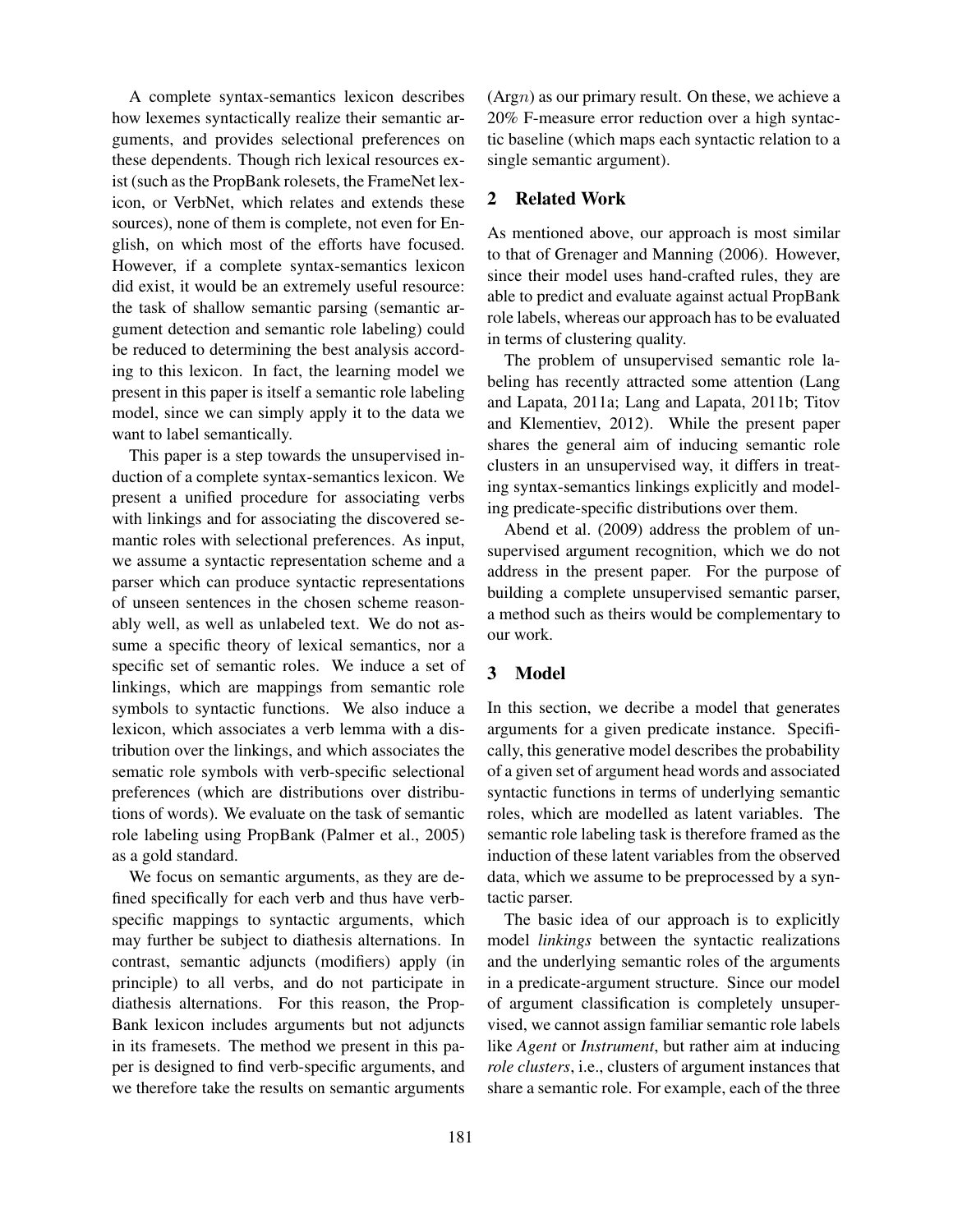A complete syntax-semantics lexicon describes how lexemes syntactically realize their semantic arguments, and provides selectional preferences on these dependents. Though rich lexical resources exist (such as the PropBank rolesets, the FrameNet lexicon, or VerbNet, which relates and extends these sources), none of them is complete, not even for English, on which most of the efforts have focused. However, if a complete syntax-semantics lexicon did exist, it would be an extremely useful resource: the task of shallow semantic parsing (semantic argument detection and semantic role labeling) could be reduced to determining the best analysis according to this lexicon. In fact, the learning model we present in this paper is itself a semantic role labeling model, since we can simply apply it to the data we want to label semantically.

This paper is a step towards the unsupervised induction of a complete syntax-semantics lexicon. We present a unified procedure for associating verbs with linkings and for associating the discovered semantic roles with selectional preferences. As input, we assume a syntactic representation scheme and a parser which can produce syntactic representations of unseen sentences in the chosen scheme reasonably well, as well as unlabeled text. We do not assume a specific theory of lexical semantics, nor a specific set of semantic roles. We induce a set of linkings, which are mappings from semantic role symbols to syntactic functions. We also induce a lexicon, which associates a verb lemma with a distribution over the linkings, and which associates the sematic role symbols with verb-specific selectional preferences (which are distributions over distributions of words). We evaluate on the task of semantic role labeling using PropBank (Palmer et al., 2005) as a gold standard.

We focus on semantic arguments, as they are defined specifically for each verb and thus have verbspecific mappings to syntactic arguments, which may further be subject to diathesis alternations. In contrast, semantic adjuncts (modifiers) apply (in principle) to all verbs, and do not participate in diathesis alternations. For this reason, the Prop-Bank lexicon includes arguments but not adjuncts in its framesets. The method we present in this paper is designed to find verb-specific arguments, and we therefore take the results on semantic arguments

 $(A$ rgn) as our primary result. On these, we achieve a 20% F-measure error reduction over a high syntactic baseline (which maps each syntactic relation to a single semantic argument).

### 2 Related Work

As mentioned above, our approach is most similar to that of Grenager and Manning (2006). However, since their model uses hand-crafted rules, they are able to predict and evaluate against actual PropBank role labels, whereas our approach has to be evaluated in terms of clustering quality.

The problem of unsupervised semantic role labeling has recently attracted some attention (Lang and Lapata, 2011a; Lang and Lapata, 2011b; Titov and Klementiev, 2012). While the present paper shares the general aim of inducing semantic role clusters in an unsupervised way, it differs in treating syntax-semantics linkings explicitly and modeling predicate-specific distributions over them.

Abend et al. (2009) address the problem of unsupervised argument recognition, which we do not address in the present paper. For the purpose of building a complete unsupervised semantic parser, a method such as theirs would be complementary to our work.

### 3 Model

In this section, we decribe a model that generates arguments for a given predicate instance. Specifically, this generative model describes the probability of a given set of argument head words and associated syntactic functions in terms of underlying semantic roles, which are modelled as latent variables. The semantic role labeling task is therefore framed as the induction of these latent variables from the observed data, which we assume to be preprocessed by a syntactic parser.

The basic idea of our approach is to explicitly model *linkings* between the syntactic realizations and the underlying semantic roles of the arguments in a predicate-argument structure. Since our model of argument classification is completely unsupervised, we cannot assign familiar semantic role labels like *Agent* or *Instrument*, but rather aim at inducing *role clusters*, i.e., clusters of argument instances that share a semantic role. For example, each of the three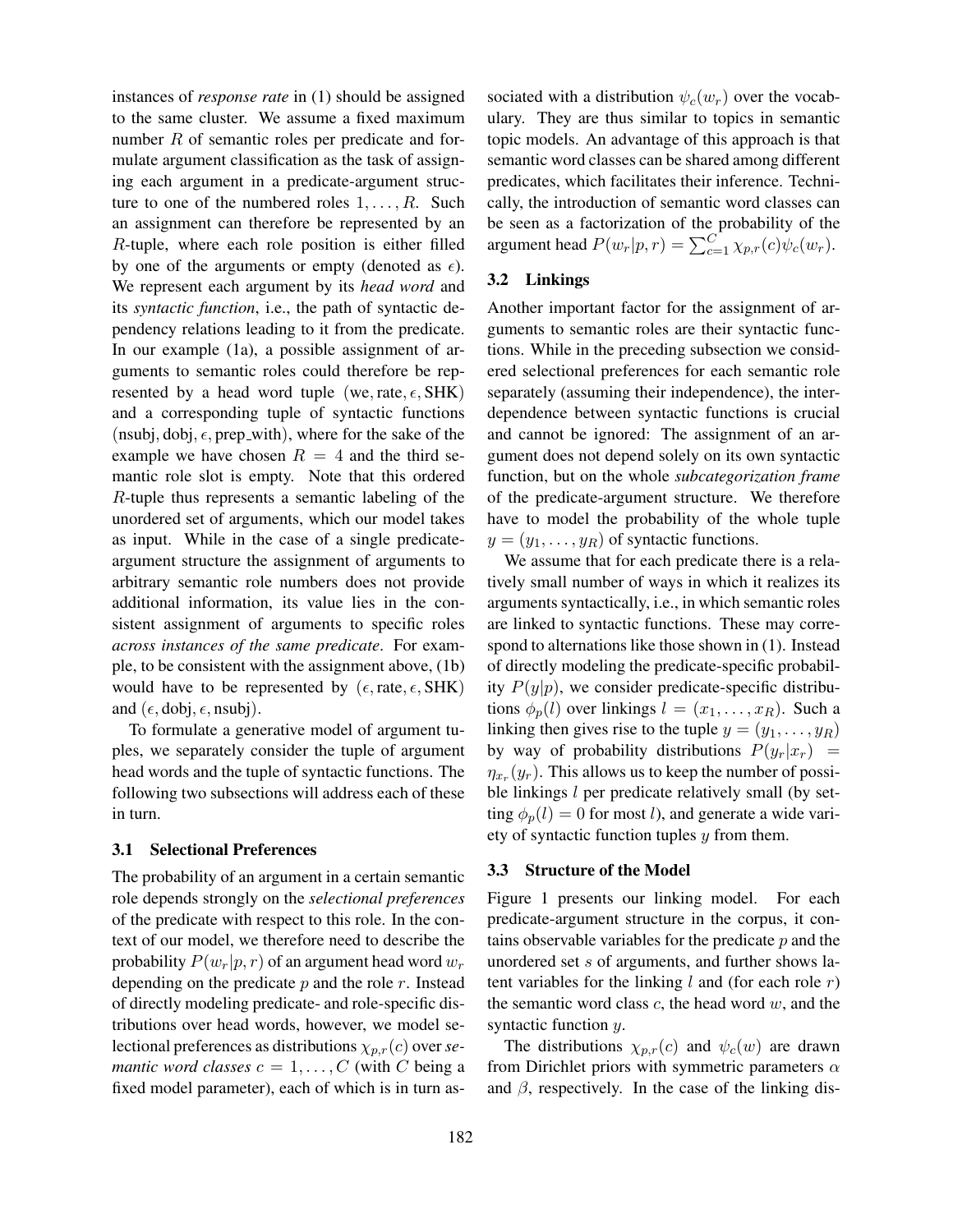instances of *response rate* in (1) should be assigned to the same cluster. We assume a fixed maximum number R of semantic roles per predicate and formulate argument classification as the task of assigning each argument in a predicate-argument structure to one of the numbered roles  $1, \ldots, R$ . Such an assignment can therefore be represented by an R-tuple, where each role position is either filled by one of the arguments or empty (denoted as  $\epsilon$ ). We represent each argument by its *head word* and its *syntactic function*, i.e., the path of syntactic dependency relations leading to it from the predicate. In our example (1a), a possible assignment of arguments to semantic roles could therefore be represented by a head word tuple (we, rate,  $\epsilon$ , SHK) and a corresponding tuple of syntactic functions (nsubj, dobj,  $\epsilon$ , prep\_with), where for the sake of the example we have chosen  $R = 4$  and the third semantic role slot is empty. Note that this ordered R-tuple thus represents a semantic labeling of the unordered set of arguments, which our model takes as input. While in the case of a single predicateargument structure the assignment of arguments to arbitrary semantic role numbers does not provide additional information, its value lies in the consistent assignment of arguments to specific roles *across instances of the same predicate*. For example, to be consistent with the assignment above, (1b) would have to be represented by  $(\epsilon, \text{rate}, \epsilon, \text{SHK})$ and  $(\epsilon, \text{dobj}, \epsilon, \text{nsubj}).$ 

To formulate a generative model of argument tuples, we separately consider the tuple of argument head words and the tuple of syntactic functions. The following two subsections will address each of these in turn.

#### 3.1 Selectional Preferences

The probability of an argument in a certain semantic role depends strongly on the *selectional preferences* of the predicate with respect to this role. In the context of our model, we therefore need to describe the probability  $P(w_r|p, r)$  of an argument head word  $w_r$ depending on the predicate  $p$  and the role  $r$ . Instead of directly modeling predicate- and role-specific distributions over head words, however, we model selectional preferences as distributions  $\chi_{p,r}(c)$  over *semantic word classes*  $c = 1, \ldots, C$  (with C being a fixed model parameter), each of which is in turn associated with a distribution  $\psi_c(w_r)$  over the vocabulary. They are thus similar to topics in semantic topic models. An advantage of this approach is that semantic word classes can be shared among different predicates, which facilitates their inference. Technically, the introduction of semantic word classes can be seen as a factorization of the probability of the argument head  $P(w_r|p,r) = \sum_{c=1}^{C} \chi_{p,r}(c) \psi_c(w_r)$ .

### 3.2 Linkings

Another important factor for the assignment of arguments to semantic roles are their syntactic functions. While in the preceding subsection we considered selectional preferences for each semantic role separately (assuming their independence), the interdependence between syntactic functions is crucial and cannot be ignored: The assignment of an argument does not depend solely on its own syntactic function, but on the whole *subcategorization frame* of the predicate-argument structure. We therefore have to model the probability of the whole tuple  $y = (y_1, \ldots, y_R)$  of syntactic functions.

We assume that for each predicate there is a relatively small number of ways in which it realizes its arguments syntactically, i.e., in which semantic roles are linked to syntactic functions. These may correspond to alternations like those shown in (1). Instead of directly modeling the predicate-specific probability  $P(y|p)$ , we consider predicate-specific distributions  $\phi_p(l)$  over linkings  $l = (x_1, \ldots, x_R)$ . Such a linking then gives rise to the tuple  $y = (y_1, \ldots, y_R)$ by way of probability distributions  $P(y_r|x_r)$  =  $\eta_{x_r}(y_r)$ . This allows us to keep the number of possible linkings  $l$  per predicate relatively small (by setting  $\phi_p(l) = 0$  for most l), and generate a wide variety of syntactic function tuples  $y$  from them.

#### 3.3 Structure of the Model

Figure 1 presents our linking model. For each predicate-argument structure in the corpus, it contains observable variables for the predicate  $p$  and the unordered set s of arguments, and further shows latent variables for the linking  $l$  and (for each role  $r$ ) the semantic word class  $c$ , the head word  $w$ , and the syntactic function  $y$ .

The distributions  $\chi_{p,r}(c)$  and  $\psi_c(w)$  are drawn from Dirichlet priors with symmetric parameters  $\alpha$ and  $\beta$ , respectively. In the case of the linking dis-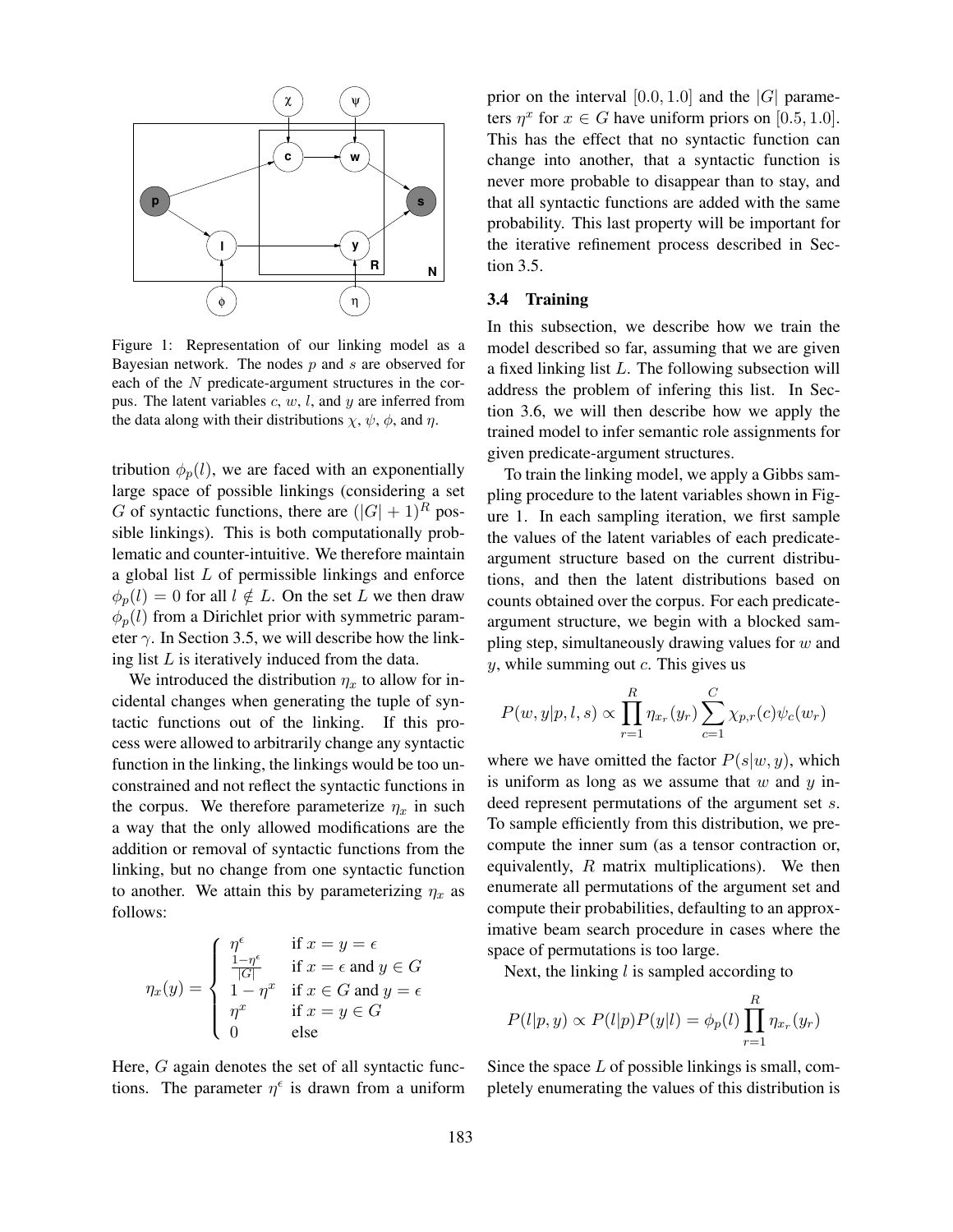

Figure 1: Representation of our linking model as a Bayesian network. The nodes  $p$  and  $s$  are observed for each of the  $N$  predicate-argument structures in the corpus. The latent variables  $c, w, l$ , and  $y$  are inferred from the data along with their distributions  $\chi$ ,  $\psi$ ,  $\phi$ , and  $\eta$ .

tribution  $\phi_p(l)$ , we are faced with an exponentially large space of possible linkings (considering a set G of syntactic functions, there are  $(|G|+1)^R$  possible linkings). This is both computationally problematic and counter-intuitive. We therefore maintain a global list L of permissible linkings and enforce  $\phi_p(l) = 0$  for all  $l \notin L$ . On the set L we then draw  $\phi_p(l)$  from a Dirichlet prior with symmetric parameter  $\gamma$ . In Section 3.5, we will describe how the linking list  $L$  is iteratively induced from the data.

We introduced the distribution  $\eta_x$  to allow for incidental changes when generating the tuple of syntactic functions out of the linking. If this process were allowed to arbitrarily change any syntactic function in the linking, the linkings would be too unconstrained and not reflect the syntactic functions in the corpus. We therefore parameterize  $\eta_x$  in such a way that the only allowed modifications are the addition or removal of syntactic functions from the linking, but no change from one syntactic function to another. We attain this by parameterizing  $\eta_x$  as follows:

$$
\eta_x(y) = \begin{cases}\n\eta^{\epsilon} & \text{if } x = y = \epsilon \\
\frac{1 - \eta^{\epsilon}}{|G|} & \text{if } x = \epsilon \text{ and } y \in G \\
1 - \eta^x & \text{if } x \in G \text{ and } y = \epsilon \\
\eta^x & \text{if } x = y \in G \\
0 & \text{else}\n\end{cases}
$$

Here, G again denotes the set of all syntactic functions. The parameter  $\eta^{\epsilon}$  is drawn from a uniform

prior on the interval [0.0, 1.0] and the  $|G|$  parameters  $\eta^x$  for  $x \in G$  have uniform priors on [0.5, 1.0]. This has the effect that no syntactic function can change into another, that a syntactic function is never more probable to disappear than to stay, and that all syntactic functions are added with the same probability. This last property will be important for the iterative refinement process described in Section 3.5.

### 3.4 Training

In this subsection, we describe how we train the model described so far, assuming that we are given a fixed linking list L. The following subsection will address the problem of infering this list. In Section 3.6, we will then describe how we apply the trained model to infer semantic role assignments for given predicate-argument structures.

To train the linking model, we apply a Gibbs sampling procedure to the latent variables shown in Figure 1. In each sampling iteration, we first sample the values of the latent variables of each predicateargument structure based on the current distributions, and then the latent distributions based on counts obtained over the corpus. For each predicateargument structure, we begin with a blocked sampling step, simultaneously drawing values for  $w$  and  $y$ , while summing out  $c$ . This gives us

$$
P(w, y|p, l, s) \propto \prod_{r=1}^{R} \eta_{x_r}(y_r) \sum_{c=1}^{C} \chi_{p,r}(c) \psi_c(w_r)
$$

where we have omitted the factor  $P(s|w, y)$ , which is uniform as long as we assume that  $w$  and  $y$  indeed represent permutations of the argument set s. To sample efficiently from this distribution, we precompute the inner sum (as a tensor contraction or, equivalently,  $R$  matrix multiplications). We then enumerate all permutations of the argument set and compute their probabilities, defaulting to an approximative beam search procedure in cases where the space of permutations is too large.

Next, the linking  $l$  is sampled according to

$$
P(l|p, y) \propto P(l|p)P(y|l) = \phi_p(l) \prod_{r=1}^{R} \eta_{x_r}(y_r)
$$

Since the space  $L$  of possible linkings is small, completely enumerating the values of this distribution is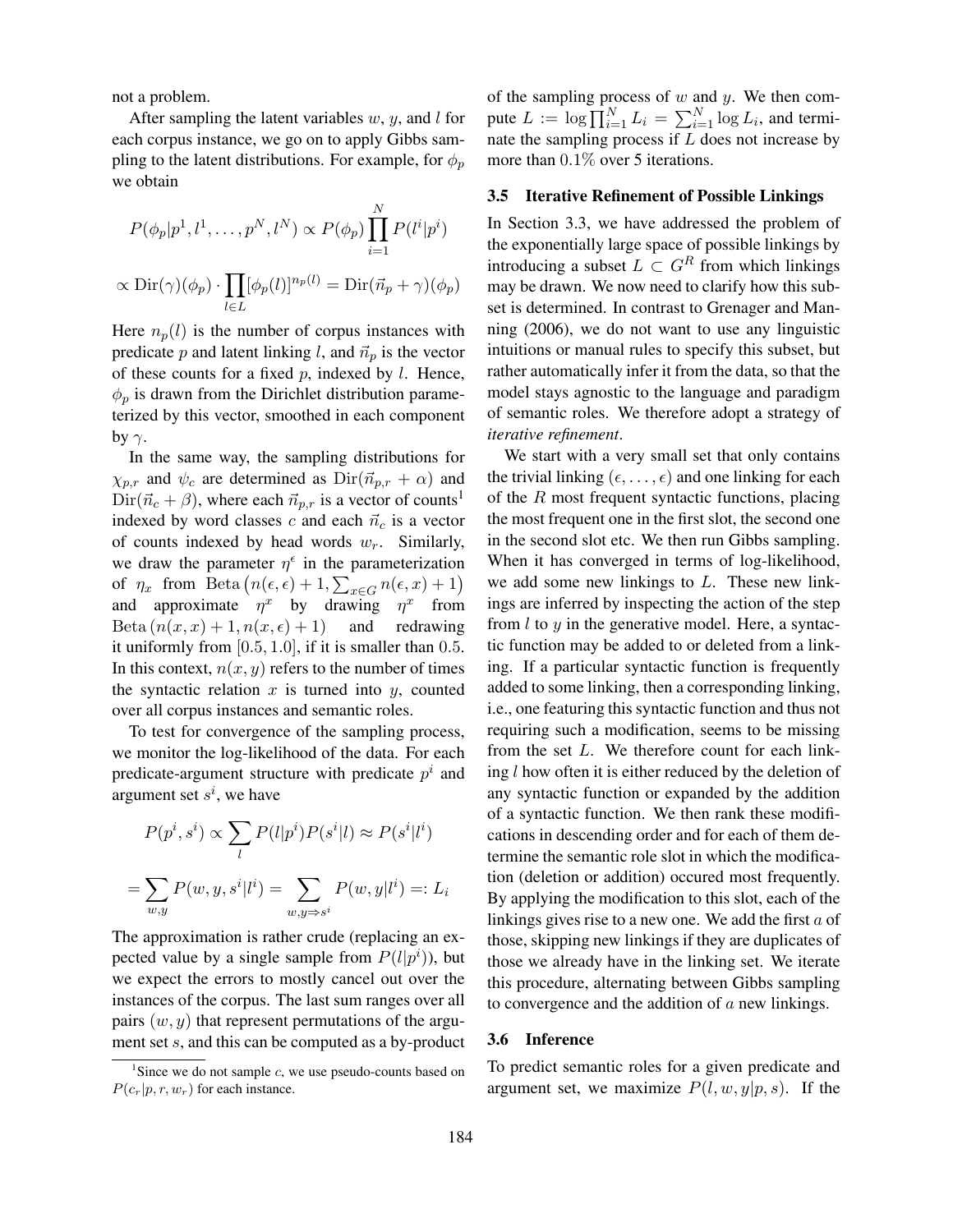not a problem.

After sampling the latent variables  $w, y$ , and l for each corpus instance, we go on to apply Gibbs sampling to the latent distributions. For example, for  $\phi_p$ we obtain

$$
P(\phi_p|p^1, l^1, \dots, p^N, l^N) \propto P(\phi_p) \prod_{i=1}^N P(l^i|p^i)
$$
  
 
$$
\propto \text{Dir}(\gamma)(\phi_p) \cdot \prod_{l \in L} [\phi_p(l)]^{n_p(l)} = \text{Dir}(\vec{n}_p + \gamma)(\phi_p)
$$

Here  $n_p(l)$  is the number of corpus instances with predicate p and latent linking l, and  $\vec{n}_p$  is the vector of these counts for a fixed  $p$ , indexed by  $l$ . Hence,  $\phi_p$  is drawn from the Dirichlet distribution parameterized by this vector, smoothed in each component by  $\gamma$ .

In the same way, the sampling distributions for  $\chi_{p,r}$  and  $\psi_c$  are determined as  $\text{Dir}(\vec{n}_{p,r} + \alpha)$  and  $Dir(\vec{n}_c + \beta)$ , where each  $\vec{n}_{p,r}$  is a vector of counts<sup>1</sup> indexed by word classes c and each  $\vec{n}_c$  is a vector of counts indexed by head words  $w_r$ . Similarly, we draw the parameter  $\eta^{\epsilon}$  in the parameterization of  $\eta_x$  from Beta  $(n(\epsilon, \epsilon) + 1, \sum_{x \in G} n(\epsilon, x) + 1)$ and approximate  $\eta^x$  by drawing  $\eta^x$  from Beta  $(n(x, x) + 1, n(x, \epsilon) + 1)$  and redrawing it uniformly from  $[0.5, 1.0]$ , if it is smaller than 0.5. In this context,  $n(x, y)$  refers to the number of times the syntactic relation  $x$  is turned into  $y$ , counted over all corpus instances and semantic roles.

To test for convergence of the sampling process, we monitor the log-likelihood of the data. For each predicate-argument structure with predicate  $p^i$  and argument set  $s^i$ , we have

$$
P(p^i, s^i) \propto \sum_l P(l|p^i) P(s^i|l) \approx P(s^i|l^i)
$$

$$
= \sum_{w,y} P(w, y, s^i|l^i) = \sum_{w,y \Rightarrow s^i} P(w, y|l^i) =: L_i
$$

The approximation is rather crude (replacing an expected value by a single sample from  $P(l|p<sup>i</sup>)$ ), but we expect the errors to mostly cancel out over the instances of the corpus. The last sum ranges over all pairs  $(w, y)$  that represent permutations of the argument set s, and this can be computed as a by-product of the sampling process of  $w$  and  $y$ . We then compute  $L := \log \prod_{i=1}^{N} L_i = \sum_{i=1}^{N} \log L_i$ , and terminate the sampling process if  $L$  does not increase by more than 0.1% over 5 iterations.

### 3.5 Iterative Refinement of Possible Linkings

In Section 3.3, we have addressed the problem of the exponentially large space of possible linkings by introducing a subset  $L \subset G^R$  from which linkings may be drawn. We now need to clarify how this subset is determined. In contrast to Grenager and Manning (2006), we do not want to use any linguistic intuitions or manual rules to specify this subset, but rather automatically infer it from the data, so that the model stays agnostic to the language and paradigm of semantic roles. We therefore adopt a strategy of *iterative refinement*.

We start with a very small set that only contains the trivial linking  $(\epsilon, \dots, \epsilon)$  and one linking for each of the  $R$  most frequent syntactic functions, placing the most frequent one in the first slot, the second one in the second slot etc. We then run Gibbs sampling. When it has converged in terms of log-likelihood, we add some new linkings to L. These new linkings are inferred by inspecting the action of the step from  $l$  to  $y$  in the generative model. Here, a syntactic function may be added to or deleted from a linking. If a particular syntactic function is frequently added to some linking, then a corresponding linking, i.e., one featuring this syntactic function and thus not requiring such a modification, seems to be missing from the set  $L$ . We therefore count for each linking  $l$  how often it is either reduced by the deletion of any syntactic function or expanded by the addition of a syntactic function. We then rank these modifications in descending order and for each of them determine the semantic role slot in which the modification (deletion or addition) occured most frequently. By applying the modification to this slot, each of the linkings gives rise to a new one. We add the first a of those, skipping new linkings if they are duplicates of those we already have in the linking set. We iterate this procedure, alternating between Gibbs sampling to convergence and the addition of  $a$  new linkings.

### 3.6 Inference

To predict semantic roles for a given predicate and argument set, we maximize  $P(l, w, y|p, s)$ . If the

<sup>&</sup>lt;sup>1</sup>Since we do not sample  $c$ , we use pseudo-counts based on  $P(c_r|p, r, w_r)$  for each instance.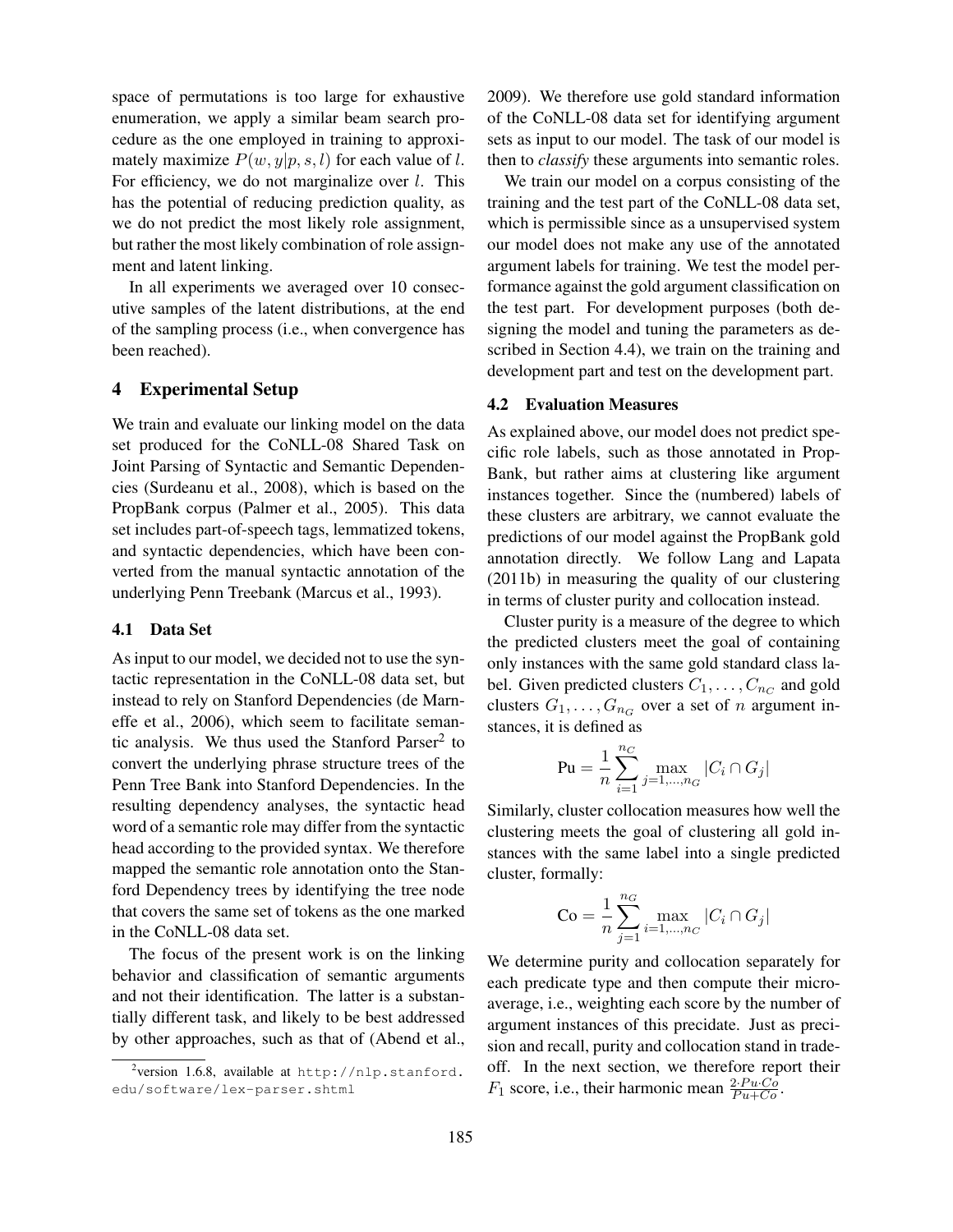space of permutations is too large for exhaustive enumeration, we apply a similar beam search procedure as the one employed in training to approximately maximize  $P(w, y|p, s, l)$  for each value of l. For efficiency, we do not marginalize over *l*. This has the potential of reducing prediction quality, as we do not predict the most likely role assignment, but rather the most likely combination of role assignment and latent linking.

In all experiments we averaged over 10 consecutive samples of the latent distributions, at the end of the sampling process (i.e., when convergence has been reached).

### 4 Experimental Setup

We train and evaluate our linking model on the data set produced for the CoNLL-08 Shared Task on Joint Parsing of Syntactic and Semantic Dependencies (Surdeanu et al., 2008), which is based on the PropBank corpus (Palmer et al., 2005). This data set includes part-of-speech tags, lemmatized tokens, and syntactic dependencies, which have been converted from the manual syntactic annotation of the underlying Penn Treebank (Marcus et al., 1993).

#### 4.1 Data Set

As input to our model, we decided not to use the syntactic representation in the CoNLL-08 data set, but instead to rely on Stanford Dependencies (de Marneffe et al., 2006), which seem to facilitate semantic analysis. We thus used the Stanford Parser<sup>2</sup> to convert the underlying phrase structure trees of the Penn Tree Bank into Stanford Dependencies. In the resulting dependency analyses, the syntactic head word of a semantic role may differ from the syntactic head according to the provided syntax. We therefore mapped the semantic role annotation onto the Stanford Dependency trees by identifying the tree node that covers the same set of tokens as the one marked in the CoNLL-08 data set.

The focus of the present work is on the linking behavior and classification of semantic arguments and not their identification. The latter is a substantially different task, and likely to be best addressed by other approaches, such as that of (Abend et al.,

2009). We therefore use gold standard information of the CoNLL-08 data set for identifying argument sets as input to our model. The task of our model is then to *classify* these arguments into semantic roles.

We train our model on a corpus consisting of the training and the test part of the CoNLL-08 data set, which is permissible since as a unsupervised system our model does not make any use of the annotated argument labels for training. We test the model performance against the gold argument classification on the test part. For development purposes (both designing the model and tuning the parameters as described in Section 4.4), we train on the training and development part and test on the development part.

#### 4.2 Evaluation Measures

As explained above, our model does not predict specific role labels, such as those annotated in Prop-Bank, but rather aims at clustering like argument instances together. Since the (numbered) labels of these clusters are arbitrary, we cannot evaluate the predictions of our model against the PropBank gold annotation directly. We follow Lang and Lapata (2011b) in measuring the quality of our clustering in terms of cluster purity and collocation instead.

Cluster purity is a measure of the degree to which the predicted clusters meet the goal of containing only instances with the same gold standard class label. Given predicted clusters  $C_1, \ldots, C_{n_C}$  and gold clusters  $G_1, \ldots, G_{n_G}$  over a set of n argument instances, it is defined as

$$
\text{Pu} = \frac{1}{n} \sum_{i=1}^{n_C} \max_{j=1,\ldots,n_G} |C_i \cap G_j|
$$

Similarly, cluster collocation measures how well the clustering meets the goal of clustering all gold instances with the same label into a single predicted cluster, formally:

$$
Co = \frac{1}{n} \sum_{j=1}^{n_G} \max_{i=1,...,n_G} |C_i \cap G_j|
$$

We determine purity and collocation separately for each predicate type and then compute their microaverage, i.e., weighting each score by the number of argument instances of this precidate. Just as precision and recall, purity and collocation stand in tradeoff. In the next section, we therefore report their  $F_1$  score, i.e., their harmonic mean  $\frac{2 \cdot Pu \cdot Co}{Pu + Co}$ .

 $\alpha^2$ version 1.6.8, available at http://nlp.stanford. edu/software/lex-parser.shtml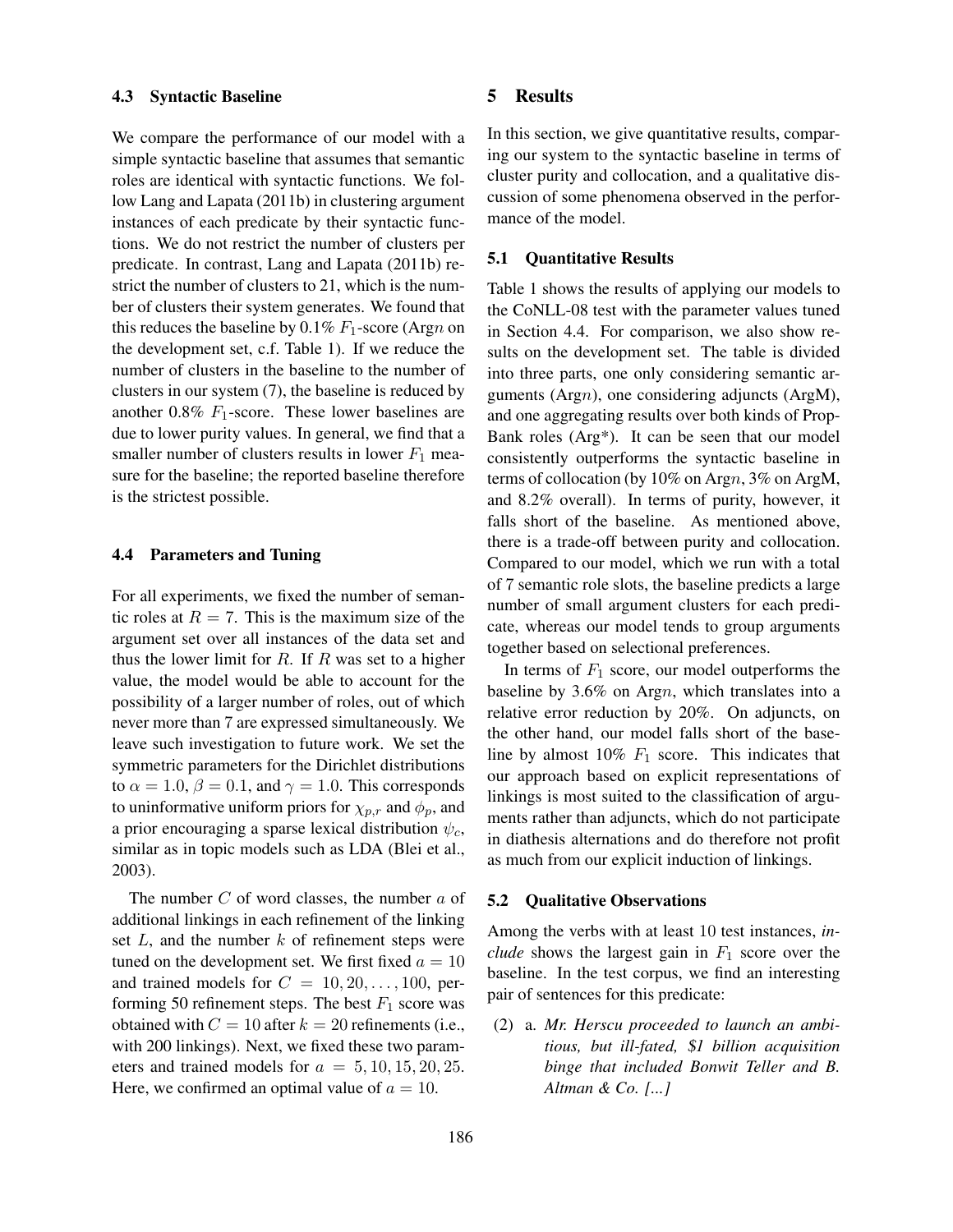#### 4.3 Syntactic Baseline

We compare the performance of our model with a simple syntactic baseline that assumes that semantic roles are identical with syntactic functions. We follow Lang and Lapata (2011b) in clustering argument instances of each predicate by their syntactic functions. We do not restrict the number of clusters per predicate. In contrast, Lang and Lapata (2011b) restrict the number of clusters to 21, which is the number of clusters their system generates. We found that this reduces the baseline by 0.1%  $F_1$ -score (Argn on the development set, c.f. Table 1). If we reduce the number of clusters in the baseline to the number of clusters in our system (7), the baseline is reduced by another 0.8%  $F_1$ -score. These lower baselines are due to lower purity values. In general, we find that a smaller number of clusters results in lower  $F_1$  measure for the baseline; the reported baseline therefore is the strictest possible.

### 4.4 Parameters and Tuning

For all experiments, we fixed the number of semantic roles at  $R = 7$ . This is the maximum size of the argument set over all instances of the data set and thus the lower limit for  $R$ . If  $R$  was set to a higher value, the model would be able to account for the possibility of a larger number of roles, out of which never more than 7 are expressed simultaneously. We leave such investigation to future work. We set the symmetric parameters for the Dirichlet distributions to  $\alpha = 1.0$ ,  $\beta = 0.1$ , and  $\gamma = 1.0$ . This corresponds to uninformative uniform priors for  $\chi_{p,r}$  and  $\phi_p$ , and a prior encouraging a sparse lexical distribution  $\psi_c$ , similar as in topic models such as LDA (Blei et al., 2003).

The number  $C$  of word classes, the number  $a$  of additional linkings in each refinement of the linking set  $L$ , and the number  $k$  of refinement steps were tuned on the development set. We first fixed  $a = 10$ and trained models for  $C = 10, 20, \ldots, 100$ , performing 50 refinement steps. The best  $F_1$  score was obtained with  $C = 10$  after  $k = 20$  refinements (i.e., with 200 linkings). Next, we fixed these two parameters and trained models for  $a = 5, 10, 15, 20, 25$ . Here, we confirmed an optimal value of  $a = 10$ .

### 5 Results

In this section, we give quantitative results, comparing our system to the syntactic baseline in terms of cluster purity and collocation, and a qualitative discussion of some phenomena observed in the performance of the model.

#### 5.1 Quantitative Results

Table 1 shows the results of applying our models to the CoNLL-08 test with the parameter values tuned in Section 4.4. For comparison, we also show results on the development set. The table is divided into three parts, one only considering semantic arguments (Argn), one considering adjuncts (ArgM), and one aggregating results over both kinds of Prop-Bank roles (Arg\*). It can be seen that our model consistently outperforms the syntactic baseline in terms of collocation (by 10% on Argn, 3% on ArgM, and 8.2% overall). In terms of purity, however, it falls short of the baseline. As mentioned above, there is a trade-off between purity and collocation. Compared to our model, which we run with a total of 7 semantic role slots, the baseline predicts a large number of small argument clusters for each predicate, whereas our model tends to group arguments together based on selectional preferences.

In terms of  $F_1$  score, our model outperforms the baseline by 3.6% on Argn, which translates into a relative error reduction by 20%. On adjuncts, on the other hand, our model falls short of the baseline by almost  $10\%$   $F_1$  score. This indicates that our approach based on explicit representations of linkings is most suited to the classification of arguments rather than adjuncts, which do not participate in diathesis alternations and do therefore not profit as much from our explicit induction of linkings.

#### 5.2 Qualitative Observations

Among the verbs with at least 10 test instances, *include* shows the largest gain in  $F_1$  score over the baseline. In the test corpus, we find an interesting pair of sentences for this predicate:

(2) a. *Mr. Herscu proceeded to launch an ambitious, but ill-fated,* \$*1 billion acquisition binge that included Bonwit Teller and B. Altman & Co. [...]*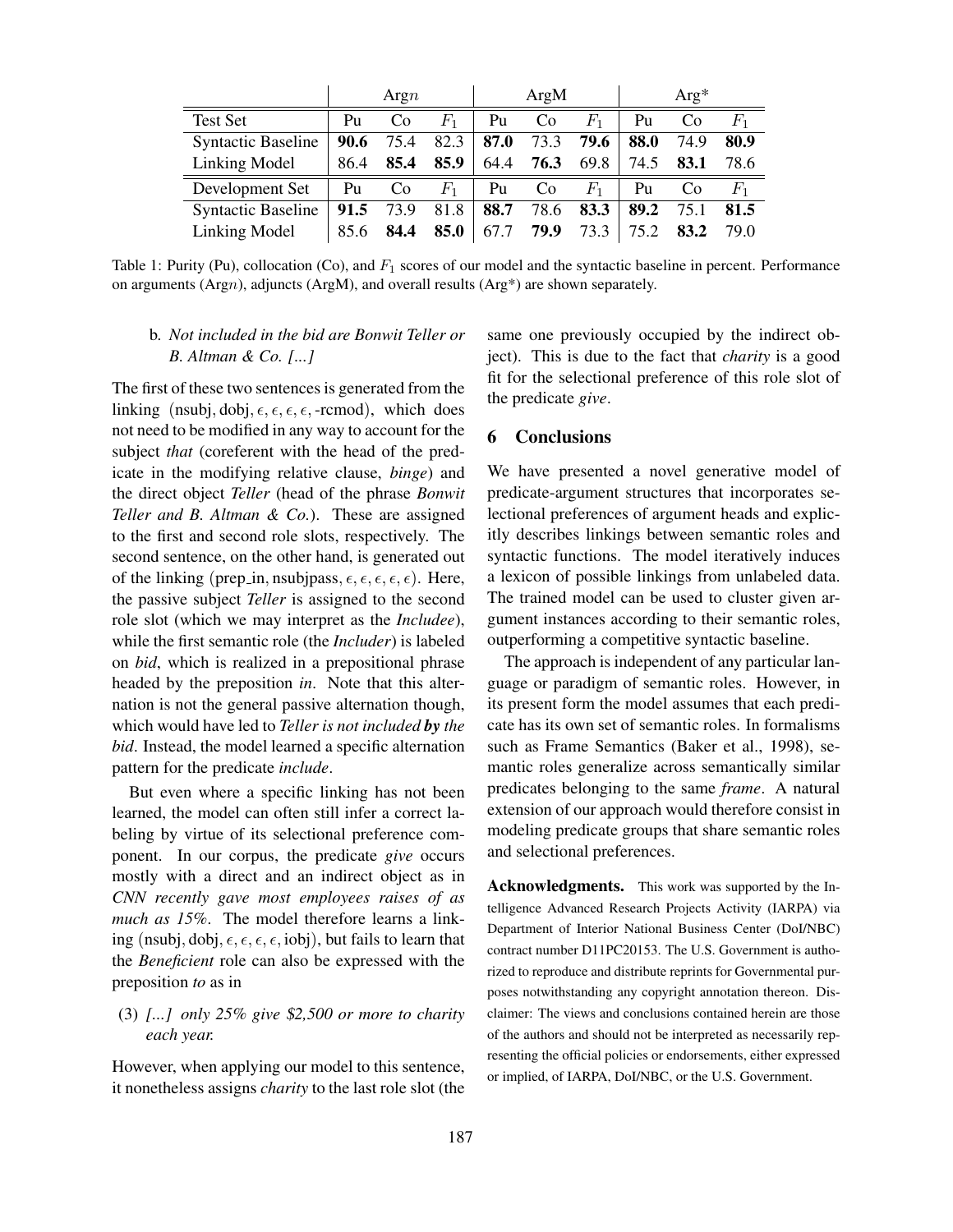|                           | Argn |                |             | ArgM |                |             | $Arg*$ |                |             |
|---------------------------|------|----------------|-------------|------|----------------|-------------|--------|----------------|-------------|
| Test Set                  | Pu   | C <sub>0</sub> | $F_1$       | Pu   | C <sub>0</sub> | $F_{\rm 1}$ | Pu     | C <sub>0</sub> | $F_{\rm 1}$ |
| <b>Syntactic Baseline</b> | 90.6 | 75.4           | 82.3        | 87.0 | 73.3           | 79.6        | 88.0   | 74.9           | 80.9        |
| Linking Model             | 86.4 | 85.4           | 85.9        | 64.4 | 76.3           | 69.8        | 74.5   | 83.1           | 78.6        |
| Development Set           | Pu   | Co             | $F_{\rm 1}$ | Pu   | C <sub>o</sub> | $F_{1}$     | Pu     | C <sub>0</sub> | $F_{1}$     |
| <b>Syntactic Baseline</b> | 91.5 | 73.9           | 81.8        | 88.7 | 78.6           | 83.3        | 89.2   | 75.1           | 81.5        |
| Linking Model             | 85.6 | 84.4           | 85.0        | 67.7 | 79.9           | 73.3        | 75.2   | 83.2           | 79.0        |

Table 1: Purity (Pu), collocation (Co), and  $F_1$  scores of our model and the syntactic baseline in percent. Performance on arguments (Argn), adjuncts (ArgM), and overall results (Arg\*) are shown separately.

# b. *Not included in the bid are Bonwit Teller or B. Altman & Co. [...]*

The first of these two sentences is generated from the linking (nsubj, dobj,  $\epsilon, \epsilon, \epsilon, \epsilon$ , -rcmod), which does not need to be modified in any way to account for the subject *that* (coreferent with the head of the predicate in the modifying relative clause, *binge*) and the direct object *Teller* (head of the phrase *Bonwit Teller and B. Altman & Co.*). These are assigned to the first and second role slots, respectively. The second sentence, on the other hand, is generated out of the linking (prep\_in, nsubjpass,  $\epsilon$ ,  $\epsilon$ ,  $\epsilon$ ,  $\epsilon$ ,  $\epsilon$ ). Here, the passive subject *Teller* is assigned to the second role slot (which we may interpret as the *Includee*), while the first semantic role (the *Includer*) is labeled on *bid*, which is realized in a prepositional phrase headed by the preposition *in*. Note that this alternation is not the general passive alternation though, which would have led to *Teller is not included by the bid*. Instead, the model learned a specific alternation pattern for the predicate *include*.

But even where a specific linking has not been learned, the model can often still infer a correct labeling by virtue of its selectional preference component. In our corpus, the predicate *give* occurs mostly with a direct and an indirect object as in *CNN recently gave most employees raises of as much as 15%*. The model therefore learns a linking (nsubj, dobj,  $\epsilon, \epsilon, \epsilon, \epsilon$ , iobj), but fails to learn that the *Beneficient* role can also be expressed with the preposition *to* as in

# (3) *[...] only 25% give* \$*2,500 or more to charity each year.*

However, when applying our model to this sentence, it nonetheless assigns *charity* to the last role slot (the same one previously occupied by the indirect object). This is due to the fact that *charity* is a good fit for the selectional preference of this role slot of the predicate *give*.

## 6 Conclusions

We have presented a novel generative model of predicate-argument structures that incorporates selectional preferences of argument heads and explicitly describes linkings between semantic roles and syntactic functions. The model iteratively induces a lexicon of possible linkings from unlabeled data. The trained model can be used to cluster given argument instances according to their semantic roles, outperforming a competitive syntactic baseline.

The approach is independent of any particular language or paradigm of semantic roles. However, in its present form the model assumes that each predicate has its own set of semantic roles. In formalisms such as Frame Semantics (Baker et al., 1998), semantic roles generalize across semantically similar predicates belonging to the same *frame*. A natural extension of our approach would therefore consist in modeling predicate groups that share semantic roles and selectional preferences.

Acknowledgments. This work was supported by the Intelligence Advanced Research Projects Activity (IARPA) via Department of Interior National Business Center (DoI/NBC) contract number D11PC20153. The U.S. Government is authorized to reproduce and distribute reprints for Governmental purposes notwithstanding any copyright annotation thereon. Disclaimer: The views and conclusions contained herein are those of the authors and should not be interpreted as necessarily representing the official policies or endorsements, either expressed or implied, of IARPA, DoI/NBC, or the U.S. Government.